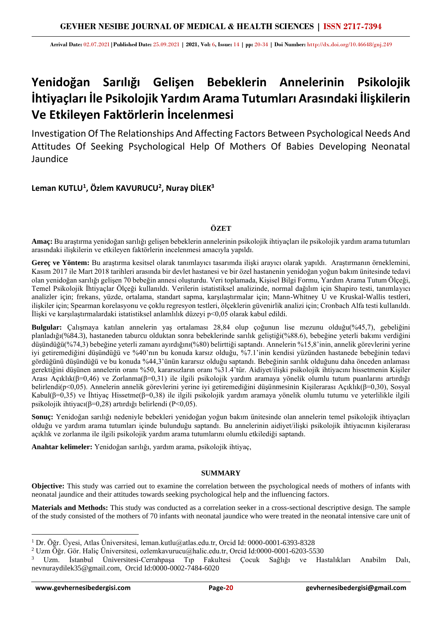**Arrival Date:** 02.07.2021**|Published Date:** 25.09.2021 **| 2021, Vol:** 6**, Issue:** 14 **| pp:** 20-34 **| Doi Number:** http://dx.doi.org/10.46648/gnj.249

# **Yenidoğan Sarılığı Gelişen Bebeklerin Annelerinin Psikolojik İhtiyaçları İle Psikolojik Yardım Arama Tutumları Arasındaki İlişkilerin Ve Etkileyen Faktörlerin İncelenmesi**

Investigation Of The Relationships And Affecting Factors Between Psychological Needs And Attitudes Of Seeking Psychological Help Of Mothers Of Babies Developing Neonatal Jaundice

## **Leman KUTLU<sup>1</sup> , Özlem KAVURUCU<sup>2</sup> , Nuray DİLEK<sup>3</sup>**

## **ÖZET**

**Amaç:** Bu araştırma yenidoğan sarılığı gelişen bebeklerin annelerinin psikolojik ihtiyaçları ile psikolojik yardım arama tutumları arasındaki ilişkilerin ve etkileyen faktörlerin incelenmesi amacıyla yapıldı.

**Gereç ve Yöntem:** Bu araştırma kesitsel olarak tanımlayıcı tasarımda ilişki arayıcı olarak yapıldı. Araştırmanın örneklemini, Kasım 2017 ile Mart 2018 tarihleri arasında bir devlet hastanesi ve bir özel hastanenin yenidoğan yoğun bakım ünitesinde tedavi olan yenidoğan sarılığı gelişen 70 bebeğin annesi oluşturdu. Veri toplamada, Kişisel Bilgi Formu, Yardım Arama Tutum Ölçeği, Temel Psikolojik İhtiyaçlar Ölçeği kullanıldı. Verilerin istatistiksel analizinde, normal dağılım için Shapiro testi, tanımlayıcı analizler için; frekans, yüzde, ortalama, standart sapma, karşılaştırmalar için; Mann-Whitney U ve Kruskal-Wallis testleri, ilişkiler için; Spearman korelasyonu ve çoklu regresyon testleri, ölçeklerin güvenirlik analizi için; Cronbach Alfa testi kullanıldı. İlişki ve karşılaştırmalardaki istatistiksel anlamlılık düzeyi p<0,05 olarak kabul edildi.

**Bulgular:** Çalışmaya katılan annelerin yaş ortalaması 28,84 olup çoğunun lise mezunu olduğu(%45,7), gebeliğini planladığı(%84.3), hastaneden taburcu olduktan sonra bebeklerinde sarılık geliştiği(%88.6), bebeğine yeterli bakımı verdiğini düşündüğü(%74,3) bebeğine yeterli zamanı ayırdığını(%80) belirttiği saptandı. Annelerin %15,8'inin, annelik görevlerini yerine iyi getiremediğini düşündüğü ve %40'nın bu konuda karsız olduğu, %7.1'inin kendisi yüzünden hastanede bebeğinin tedavi gördüğünü düşündüğü ve bu konuda %44,3'ünün kararsız olduğu saptandı. Bebeğinin sarılık olduğunu daha önceden anlaması gerektiğini düşünen annelerin oranı %50, kararsızların oranı %31.4'tür. Aidiyet/ilişki psikolojik ihtiyacını hissetmenin Kişiler Arası Açıklık(β=0,46) ve Zorlanma(β=0,31) ile ilgili psikolojik yardım aramaya yönelik olumlu tutum puanlarını artırdığı belirlendi(p<0,05). Annelerin annelik görevlerini yerine iyi getiremediğini düşünmesinin Kişilerarası Açıklık(β=0,30), Sosyal Kabul(β=0,35) ve İhtiyaç Hissetme(β=0,38) ile ilgili psikolojik yardım aramaya yönelik olumlu tutumu ve yeterlilikle ilgili psikolojik ihtiyacı(β=0,28) artırdığı belirlendi (P<0,05).

**Sonuç:** Yenidoğan sarılığı nedeniyle bebekleri yenidoğan yoğun bakım ünitesinde olan annelerin temel psikolojik ihtiyaçları olduğu ve yardım arama tutumları içinde bulunduğu saptandı. Bu annelerinin aidiyet/ilişki psikolojik ihtiyacının kişilerarası açıklık ve zorlanma ile ilgili psikolojik yardım arama tutumlarını olumlu etkilediği saptandı.

**Anahtar kelimeler:** Yenidoğan sarılığı, yardım arama, psikolojik ihtiyaç,

## **SUMMARY**

**Objective:** This study was carried out to examine the correlation between the psychological needs of mothers of infants with neonatal jaundice and their attitudes towards seeking psychological help and the influencing factors.

**Materials and Methods:** This study was conducted as a correlation seeker in a cross-sectional descriptive design. The sample of the study consisted of the mothers of 70 infants with neonatal jaundice who were treated in the neonatal intensive care unit of

<sup>1</sup> Dr. Öğr. Üyesi, Atlas Üniversitesi, leman.kutlu@atlas.edu.tr, Orcid Id: 0000-0001-6393-8328

<sup>2</sup> Uzm Öğr. Gör. Haliç Üniversitesi, ozlemkavurucu@halic.edu.tr, Orcid Id:0000-0001-6203-5530

<sup>3</sup> Uzm. İstanbul Üniversitesi-Cerrahpaşa Tıp Fakultesi Çocuk Sağlığı ve Hastalıkları Anabilm Dalı, nevnuraydilek35@gmail.com, Orcid Id:0000-0002-7484-6020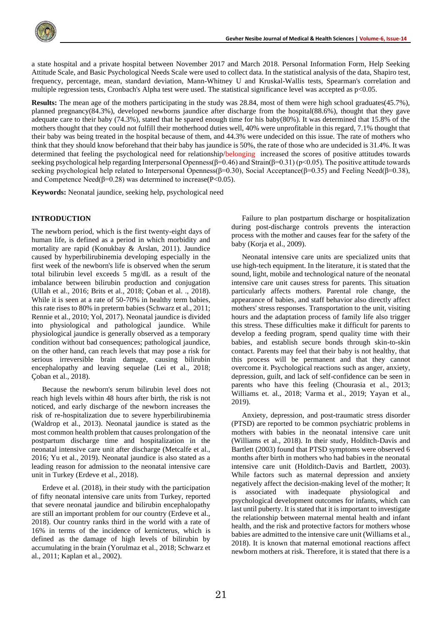

a state hospital and a private hospital between November 2017 and March 2018. Personal Information Form, Help Seeking Attitude Scale, and Basic Psychological Needs Scale were used to collect data. In the statistical analysis of the data, Shapiro test, frequency, percentage, mean, standard deviation, Mann-Whitney U and Kruskal-Wallis tests, Spearman's correlation and multiple regression tests, Cronbach's Alpha test were used. The statistical significance level was accepted as  $p<0.05$ .

**Results:** The mean age of the mothers participating in the study was 28.84, most of them were high school graduates(45.7%), planned pregnancy(84.3%), developed newborns jaundice after discharge from the hospital(88.6%), thought that they gave adequate care to their baby (74.3%), stated that he spared enough time for his baby(80%). It was determined that 15.8% of the mothers thought that they could not fulfill their motherhood duties well, 40% were unprofitable in this regard, 7.1% thought that their baby was being treated in the hospital because of them, and 44.3% were undecided on this issue. The rate of mothers who think that they should know beforehand that their baby has jaundice is 50%, the rate of those who are undecided is 31.4%. It was determined that feeling the psychological need for relationship/belonging increased the scores of positive attitudes towards seeking psychological help regarding Interpersonal Openness( $\beta$ =0.46) and Strain( $\beta$ =0.31) (p<0.05). The positive attitude towards seeking psychological help related to Interpersonal Openness( $\beta$ =0.30), Social Acceptance( $\beta$ =0.35) and Feeling Need( $\beta$ =0.38), and Competence Need( $\beta$ =0.28) was determined to increase( $\beta$ <0.05).

**Keywords:** Neonatal jaundice, seeking help, psychological need

#### **INTRODUCTION**

The newborn period, which is the first twenty-eight days of human life, is defined as a period in which morbidity and mortality are rapid (Konukbay & Arslan, 2011). Jaundice caused by hyperbilirubinemia developing especially in the first week of the newborn's life is observed when the serum total bilirubin level exceeds 5 mg/dL as a result of the imbalance between bilirubin production and conjugation (Ullah et al., 2016; Brits et al., 2018; Çoban et al. ., 2018). While it is seen at a rate of 50-70% in healthy term babies, this rate rises to 80% in preterm babies (Schwarz et al., 2011; Rennie et al., 2010; Yol, 2017). Neonatal jaundice is divided into physiological and pathological jaundice. While physiological jaundice is generally observed as a temporary condition without bad consequences; pathological jaundice, on the other hand, can reach levels that may pose a risk for serious irreversible brain damage, causing bilirubin encephalopathy and leaving sequelae (Lei et al., 2018; Çoban et al., 2018).

Because the newborn's serum bilirubin level does not reach high levels within 48 hours after birth, the risk is not noticed, and early discharge of the newborn increases the risk of re-hospitalization due to severe hyperbilirubinemia (Waldrop et al., 2013). Neonatal jaundice is stated as the most common health problem that causes prolongation of the postpartum discharge time and hospitalization in the neonatal intensive care unit after discharge (Metcalfe et al., 2016; Yu et al., 2019). Neonatal jaundice is also stated as a leading reason for admission to the neonatal intensive care unit in Turkey (Erdeve et al., 2018).

Erdeve et al. (2018), in their study with the participation of fifty neonatal intensive care units from Turkey, reported that severe neonatal jaundice and bilirubin encephalopathy are still an important problem for our country (Erdeve et al., 2018). Our country ranks third in the world with a rate of 16% in terms of the incidence of kernicterus, which is defined as the damage of high levels of bilirubin by accumulating in the brain (Yorulmaz et al., 2018; Schwarz et al., 2011; Kaplan et al., 2002).

Failure to plan postpartum discharge or hospitalization during post-discharge controls prevents the interaction process with the mother and causes fear for the safety of the baby (Korja et al., 2009).

Neonatal intensive care units are specialized units that use high-tech equipment. In the literature, it is stated that the sound, light, mobile and technological nature of the neonatal intensive care unit causes stress for parents. This situation particularly affects mothers. Parental role change, the appearance of babies, and staff behavior also directly affect mothers' stress responses. Transportation to the unit, visiting hours and the adaptation process of family life also trigger this stress. These difficulties make it difficult for parents to develop a feeding program, spend quality time with their babies, and establish secure bonds through skin-to-skin contact. Parents may feel that their baby is not healthy, that this process will be permanent and that they cannot overcome it. Psychological reactions such as anger, anxiety, depression, guilt, and lack of self-confidence can be seen in parents who have this feeling (Chourasia et al., 2013; Williams et. al., 2018; Varma et al., 2019; Yayan et al., 2019).

Anxiety, depression, and post-traumatic stress disorder (PTSD) are reported to be common psychiatric problems in mothers with babies in the neonatal intensive care unit (Williams et al., 2018). In their study, Holditch-Davis and Bartlett (2003) found that PTSD symptoms were observed 6 months after birth in mothers who had babies in the neonatal intensive care unit (Holditch-Davis and Bartlett, 2003). While factors such as maternal depression and anxiety negatively affect the decision-making level of the mother; It is associated with inadequate physiological and psychological development outcomes for infants, which can last until puberty. It is stated that it is important to investigate the relationship between maternal mental health and infant health, and the risk and protective factors for mothers whose babies are admitted to the intensive care unit (Williams et al., 2018). It is known that maternal emotional reactions affect newborn mothers at risk. Therefore, it is stated that there is a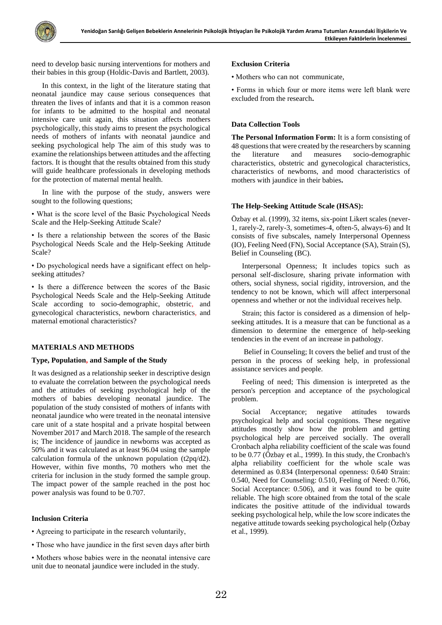need to develop basic nursing interventions for mothers and their babies in this group (Holdic-Davis and Bartlett, 2003).

In this context, in the light of the literature stating that neonatal jaundice may cause serious consequences that threaten the lives of infants and that it is a common reason for infants to be admitted to the hospital and neonatal intensive care unit again, this situation affects mothers psychologically, this study aims to present the psychological needs of mothers of infants with neonatal jaundice and seeking psychological help The aim of this study was to examine the relationships between attitudes and the affecting factors. It is thought that the results obtained from this study will guide healthcare professionals in developing methods for the protection of maternal mental health.

In line with the purpose of the study, answers were sought to the following questions;

• What is the score level of the Basic Psychological Needs Scale and the Help-Seeking Attitude Scale?

• Is there a relationship between the scores of the Basic Psychological Needs Scale and the Help-Seeking Attitude Scale?

• Do psychological needs have a significant effect on helpseeking attitudes?

• Is there a difference between the scores of the Basic Psychological Needs Scale and the Help-Seeking Attitude Scale according to socio-demographic, obstetric, and gynecological characteristics, newborn characteristics, and maternal emotional characteristics?

## **MATERIALS AND METHODS**

## **Type, Population, and Sample of the Study**

It was designed as a relationship seeker in descriptive design to evaluate the correlation between the psychological needs and the attitudes of seeking psychological help of the mothers of babies developing neonatal jaundice. The population of the study consisted of mothers of infants with neonatal jaundice who were treated in the neonatal intensive care unit of a state hospital and a private hospital between November 2017 and March 2018. The sample of the research is; The incidence of jaundice in newborns was accepted as 50% and it was calculated as at least 96.04 using the sample calculation formula of the unknown population (t2pq/d2). However, within five months, 70 mothers who met the criteria for inclusion in the study formed the sample group. The impact power of the sample reached in the post hoc power analysis was found to be 0.707.

## **Inclusion Criteria**

- Agreeing to participate in the research voluntarily,
- Those who have jaundice in the first seven days after birth
- Mothers whose babies were in the neonatal intensive care unit due to neonatal jaundice were included in the study.

#### **Exclusion Criteria**

• Mothers who can not communicate,

• Forms in which four or more items were left blank were excluded from the research**.**

## **Data Collection Tools**

**The Personal Information Form:** It is a form consisting of 48 questions that were created by the researchers by scanning the literature and measures socio-demographic characteristics, obstetric and gynecological characteristics, characteristics of newborns, and mood characteristics of mothers with jaundice in their babies**.**

## **The Help-Seeking Attitude Scale (HSAS):**

Özbay et al. (1999), 32 items, six-point Likert scales (never-1, rarely-2, rarely-3, sometimes-4, often-5, always-6) and It consists of five subscales, namely Interpersonal Openness (IO), Feeling Need (FN), Social Acceptance (SA), Strain (S), Belief in Counseling (BC).

Interpersonal Openness; It includes topics such as personal self-disclosure, sharing private information with others, social shyness, social rigidity, introversion, and the tendency to not be known, which will affect interpersonal openness and whether or not the individual receives help.

Strain; this factor is considered as a dimension of helpseeking attitudes. It is a measure that can be functional as a dimension to determine the emergence of help-seeking tendencies in the event of an increase in pathology.

Belief in Counseling; It covers the belief and trust of the person in the process of seeking help, in professional assistance services and people.

Feeling of need; This dimension is interpreted as the person's perception and acceptance of the psychological problem.

Social Acceptance; negative attitudes towards psychological help and social cognitions. These negative attitudes mostly show how the problem and getting psychological help are perceived socially. The overall Cronbach alpha reliability coefficient of the scale was found to be 0.77 (Özbay et al., 1999). In this study, the Cronbach's alpha reliability coefficient for the whole scale was determined as 0.834 (Interpersonal openness: 0.640 Strain: 0.540, Need for Counseling: 0.510, Feeling of Need: 0.766, Social Acceptance: 0.506), and it was found to be quite reliable. The high score obtained from the total of the scale indicates the positive attitude of the individual towards seeking psychological help, while the low score indicates the negative attitude towards seeking psychological help (Özbay et al., 1999).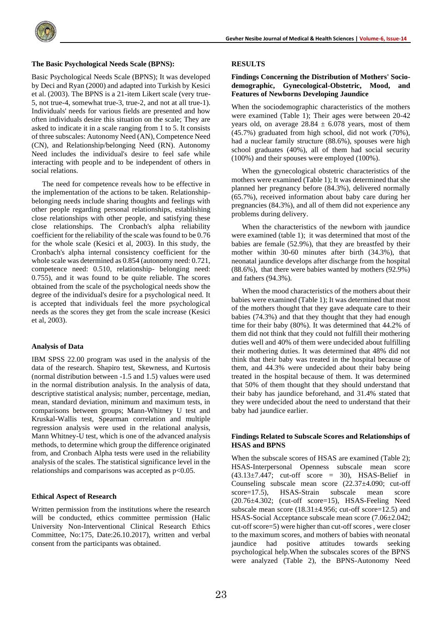

#### **The Basic Psychological Needs Scale (BPNS):**

Basic Psychological Needs Scale (BPNS); It was developed by Deci and Ryan (2000) and adapted into Turkish by Kesici et al. (2003). The BPNS is a 21-item Likert scale (very true-5, not true-4, somewhat true-3, true-2, and not at all true-1). Individuals' needs for various fields are presented and how often individuals desire this situation on the scale; They are asked to indicate it in a scale ranging from 1 to 5. It consists of three subscales: Autonomy Need (AN), Competence Need (CN), and Relationship/belonging Need (RN). Autonomy Need includes the individual's desire to feel safe while interacting with people and to be independent of others in social relations.

The need for competence reveals how to be effective in the implementation of the actions to be taken. Relationshipbelonging needs include sharing thoughts and feelings with other people regarding personal relationships, establishing close relationships with other people, and satisfying these close relationships. The Cronbach's alpha reliability coefficient for the reliability of the scale was found to be 0.76 for the whole scale (Kesici et al, 2003). In this study, the Cronbach's alpha internal consistency coefficient for the whole scale was determined as 0.854 (autonomy need: 0.721, competence need: 0.510, relationship- belonging need: 0.755), and it was found to be quite reliable. The scores obtained from the scale of the psychological needs show the degree of the individual's desire for a psychological need. It is accepted that individuals feel the more psychological needs as the scores they get from the scale increase (Kesici et al, 2003).

#### **Analysis of Data**

IBM SPSS 22.00 program was used in the analysis of the data of the research. Shapiro test, Skewness, and Kurtosis (normal distribution between -1.5 and 1.5) values were used in the normal distribution analysis. In the analysis of data, descriptive statistical analysis; number, percentage, median, mean, standard deviation, minimum and maximum tests, in comparisons between groups; Mann-Whitney U test and Kruskal-Wallis test, Spearman correlation and multiple regression analysis were used in the relational analysis, Mann Whitney-U test, which is one of the advanced analysis methods, to determine which group the difference originated from, and Cronbach Alpha tests were used in the reliability analysis of the scales. The statistical significance level in the relationships and comparisons was accepted as  $p<0.05$ .

#### **Ethical Aspect of Research**

Written permission from the institutions where the research will be conducted, ethics committee permission (Halic University Non-Interventional Clinical Research Ethics Committee, No:175, Date:26.10.2017), written and verbal consent from the participants was obtained.

#### **RESULTS**

#### **Findings Concerning the Distribution of Mothers' Sociodemographic, Gynecological-Obstetric, Mood, and Features of Newborns Developing Jaundice**

When the sociodemographic characteristics of the mothers were examined (Table 1); Their ages were between 20-42 years old, on average  $28.84 \pm 6.078$  years, most of them (45.7%) graduated from high school, did not work (70%), had a nuclear family structure (88.6%), spouses were high school graduates (40%), all of them had social security (100%) and their spouses were employed (100%).

When the gynecological obstetric characteristics of the mothers were examined (Table 1); It was determined that she planned her pregnancy before (84.3%), delivered normally (65.7%), received information about baby care during her pregnancies (84.3%), and all of them did not experience any problems during delivery.

When the characteristics of the newborn with jaundice were examined (table 1); it was determined that most of the babies are female (52.9%), that they are breastfed by their mother within 30-60 minutes after birth (34.3%), that neonatal jaundice develops after discharge from the hospital (88.6%), that there were babies wanted by mothers (92.9%) and fathers (94.3%).

When the mood characteristics of the mothers about their babies were examined (Table 1); It was determined that most of the mothers thought that they gave adequate care to their babies (74.3%) and that they thought that they had enough time for their baby (80%). It was determined that 44.2% of them did not think that they could not fulfill their mothering duties well and 40% of them were undecided about fulfilling their mothering duties. It was determined that 48% did not think that their baby was treated in the hospital because of them, and 44.3% were undecided about their baby being treated in the hospital because of them. It was determined that 50% of them thought that they should understand that their baby has jaundice beforehand, and 31.4% stated that they were undecided about the need to understand that their baby had jaundice earlier.

#### **Findings Related to Subscale Scores and Relationships of HSAS and BPNS**

When the subscale scores of HSAS are examined (Table 2); HSAS-Interpersonal Openness subscale mean score  $(43.13\pm7.447;$  cut-off score = 30), HSAS-Belief in Counseling subscale mean score (22.37±4.090; cut-off score=17.5), HSAS-Strain subscale mean score  $(20.76\pm4.302;$  (cut-off score=15), HSAS-Feeling Need subscale mean score  $(18.31 \pm 4.956)$ ; cut-off score=12.5) and HSAS-Social Acceptance subscale mean score (7.06±2.042; cut-off score=5) were higher than cut-off scores , were closer to the maximum scores, and mothers of babies with neonatal jaundice had positive attitudes towards seeking psychological help.When the subscales scores of the BPNS were analyzed (Table 2), the BPNS-Autonomy Need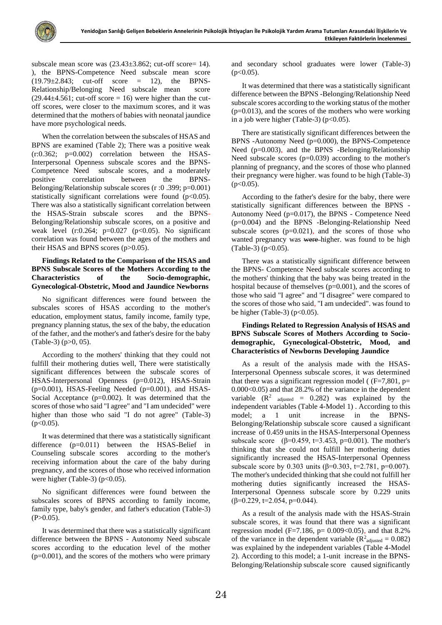

subscale mean score was  $(23.43\pm3.862)$ ; cut-off score= 14). ), the BPNS-Competence Need subscale mean score  $(19.79\pm2.843;$  cut-off score = 12), the BPNS-Relationship/Belonging Need subscale mean score  $(29.44\pm4.561;$  cut-off score = 16) were higher than the cutoff scores, were closer to the maximum scores, and it was determined that the mothers of babies with neonatal jaundice have more psychological needs.

When the correlation between the subscales of HSAS and BPNS are examined (Table 2); There was a positive weak  $(r:0.362; p=0.002)$  correlation between the HSAS-Interpersonal Openness subscale scores and the BPNS-Competence Need subscale scores, and a moderately positive correlation between the BPNS-Belonging/Relationship subscale scores (r :0 .399; p=0.001) statistically significant correlations were found (p<0.05). There was also a statistically significant correlation between the HSAS-Strain subscale scores and the BPNS-Belonging/Relationship subscale scores, on a positive and weak level  $(r:0.264; p=0.027 (p<0.05)$ . No significant correlation was found between the ages of the mothers and their HSAS and BPNS scores (p>0.05).

## **Findings Related to the Comparison of the HSAS and BPNS Subscale Scores of the Mothers According to the Characteristics of the Socio-demographic, Gynecological-Obstetric, Mood and Jaundice Newborns**

No significant differences were found between the subscales scores of HSAS according to the mother's education, employment status, family income, family type, pregnancy planning status, the sex of the baby, the education of the father, and the mother's and father's desire for the baby (Table-3) (p>0, 05).

According to the mothers' thinking that they could not fulfill their mothering duties well, There were statistically significant differences between the subscale scores of HSAS-Interpersonal Openness (p=0.012), HSAS-Strain  $(p=0.001)$ , HSAS-Feeling Needed  $(p=0.001)$ , and HSAS-Social Acceptance (p=0.002). It was determined that the scores of those who said "I agree" and "I am undecided" were higher than those who said "I do not agree" (Table-3)  $(p<0.05)$ .

It was determined that there was a statistically significant difference (p=0.011) between the HSAS-Belief in Counseling subscale scores according to the mother's receiving information about the care of the baby during pregnancy, and the scores of those who received information were higher (Table-3) ( $p<0.05$ ).

No significant differences were found between the subscales scores of BPNS according to family income, family type, baby's gender, and father's education (Table-3)  $(P>0.05)$ .

It was determined that there was a statistically significant difference between the BPNS - Autonomy Need subscale scores according to the education level of the mother (p=0.001), and the scores of the mothers who were primary

and secondary school graduates were lower (Table-3)  $(p<0.05)$ .

It was determined that there was a statistically significant difference between the BPNS -Belonging/Relationship Need subscale scores according to the working status of the mother  $(p=0.013)$ , and the scores of the mothers who were working in a job were higher (Table-3) ( $p<0.05$ ).

There are statistically significant differences between the BPNS -Autonomy Need (p=0.000), the BPNS-Competence Need (p=0.003), and the BPNS -Belonging/Relationship Need subscale scores (p=0.039) according to the mother's planning of pregnancy, and the scores of those who planned their pregnancy were higher. was found to be high (Table-3)  $(p<0.05)$ .

According to the father's desire for the baby, there were statistically significant differences between the BPNS - Autonomy Need (p=0.017), the BPNS - Competence Need (p=0.004) and the BPNS -Belonging-Relationship Need subscale scores  $(p=0.021)$ , and the scores of those who wanted pregnancy was were higher. was found to be high  $(Table-3)$  ( $p<0.05$ ).

There was a statistically significant difference between the BPNS- Competence Need subscale scores according to the mothers' thinking that the baby was being treated in the hospital because of themselves (p=0.001), and the scores of those who said "I agree" and "I disagree" were compared to the scores of those who said, "I am undecided". was found to be higher (Table-3) ( $p<0.05$ ).

**Findings Related to Regression Analysis of HSAS and BPNS Subscale Scores of Mothers According to Sociodemographic, Gynecological-Obstetric, Mood, and Characteristics of Newborns Developing Jaundice**

As a result of the analysis made with the HSAS-Interpersonal Openness subscale scores, it was determined that there was a significant regression model ( $(F=7,801, p=$ 0.000<0.05) and that 28.2% of the variance in the dependent variable  $(R^2$  adjusted = 0.282) was explained by the independent variables (Table 4-Model 1) . According to this model; a 1 unit increase in the BPNS-Belonging/Relationship subscale score caused a significant increase of 0.459 units in the HSAS-Interpersonal Openness subscale score (β=0.459, t=3.453, p=0.001). The mother's thinking that she could not fulfill her mothering duties significantly increased the HSAS-Interpersonal Openness subscale score by 0.303 units ( $\beta$ =0.303, t=2.781, p=0.007). The mother's undecided thinking that she could not fulfill her mothering duties significantly increased the HSAS-Interpersonal Openness subscale score by 0.229 units  $(β=0.229, t=2.054, p=0.044).$ 

As a result of the analysis made with the HSAS-Strain subscale scores, it was found that there was a significant regression model (F=7.186, p=  $0.009<0.05$ ), and that 8.2% of the variance in the dependent variable ( $\mathbb{R}^2$ <sub>adjusted</sub> = 0.082) was explained by the independent variables (Table 4-Model 2). According to this model; a 1-unit increase in the BPNS-Belonging/Relationship subscale score caused significantly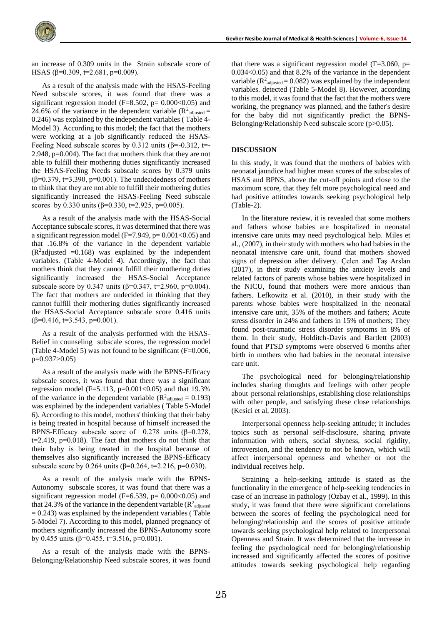an increase of 0.309 units in the Strain subscale score of HSAS (β=0.309, t=2.681, p=0.009).

As a result of the analysis made with the HSAS-Feeling Need subscale scores, it was found that there was a significant regression model (F=8.502, p=  $0.000<0.05$ ) and 24.6% of the variance in the dependent variable ( $\mathbb{R}^2$ <sub>adjusted</sub> = 0.246) was explained by the independent variables ( Table 4- Model 3). According to this model; the fact that the mothers were working at a job significantly reduced the HSAS-Feeling Need subscale scores by 0.312 units ( $\beta$ =-0.312, t=-2.948, p=0.004). The fact that mothers think that they are not able to fulfill their mothering duties significantly increased the HSAS-Feeling Needs subscale scores by 0.379 units  $(\beta=0.379, t=3.390, p=0.001)$ . The undecidedness of mothers to think that they are not able to fulfill their mothering duties significantly increased the HSAS-Feeling Need subscale scores by 0.330 units ( $\beta$ =0.330, t=2.925, p=0.005).

As a result of the analysis made with the HSAS-Social Acceptance subscale scores, it was determined that there was a significant regression model ( $F=7.949$ ,  $p= 0.001 < 0.05$ ) and that .16.8% of the variance in the dependent variable  $(R<sup>2</sup>adjusted = 0.168)$  was explained by the independent variables. (Table 4-Model 4). Accordingly, the fact that mothers think that they cannot fulfill their mothering duties significantly increased the HSAS-Social Acceptance subscale score by 0.347 units ( $\beta$ =0.347, t=2.960, p=0.004). The fact that mothers are undecided in thinking that they cannot fulfill their mothering duties significantly increased the HSAS-Social Acceptance subscale score 0.416 units ( $\beta$ =0.416, t=3.543, p=0.001).

As a result of the analysis performed with the HSAS-Belief in counseling subscale scores, the regression model (Table 4-Model 5) was not found to be significant (F=0.006, p=0.937>0.05)

As a result of the analysis made with the BPNS-Efficacy subscale scores, it was found that there was a significant regression model (F=5.113, p=0.001<0.05) and that  $19.3\%$ of the variance in the dependent variable ( $\mathbb{R}^2$ <sub>adjusted</sub> = 0.193) was explained by the independent variables ( Table 5-Model 6). According to this model, mothers' thinking that their baby is being treated in hospital because of himself increased the BPNS-Efficacy subscale score of 0.278 units ( $\beta$ =0.278, t=2.419, p=0.018). The fact that mothers do not think that their baby is being treated in the hospital because of themselves also significantly increased the BPNS-Efficacy subscale score by 0.264 units ( $\beta$ =0.264, t=2.216, p=0.030).

As a result of the analysis made with the BPNS-Autonomy subscale scores, it was found that there was a significant regression model (F=6.539, p=  $0.000<0.05$ ) and that 24.3% of the variance in the dependent variable  $(R^2_{\text{adjusted}})$  $= 0.243$ ) was explained by the independent variables (Table 5-Model 7). According to this model, planned pregnancy of mothers significantly increased the BPNS-Autonomy score by 0.455 units (β=0.455, t=3.516, p=0.001).

As a result of the analysis made with the BPNS-Belonging/Relationship Need subscale scores, it was found that there was a significant regression model ( $F=3.060$ ,  $p=$ 0.034<0.05) and that 8.2% of the variance in the dependent variable ( $\mathbb{R}^2$ <sub>adjusted</sub> = 0.082) was explained by the independent variables. detected (Table 5-Model 8). However, according to this model, it was found that the fact that the mothers were working, the pregnancy was planned, and the father's desire for the baby did not significantly predict the BPNS-Belonging/Relationship Need subscale score (p>0.05).

#### **DISCUSSION**

In this study, it was found that the mothers of babies with neonatal jaundice had higher mean scores of the subscales of HSAS and BPNS, above the cut-off points and close to the maximum score, that they felt more psychological need and had positive attitudes towards seeking psychological help (Table-2).

In the literature review, it is revealed that some mothers and fathers whose babies are hospitalized in neonatal intensive care units may need psychological help. Miles et al., (2007), in their study with mothers who had babies in the neonatal intensive care unit, found that mothers showed signs of depression after delivery. Çelen and Taş Arslan (2017), in their study examining the anxiety levels and related factors of parents whose babies were hospitalized in the NICU, found that mothers were more anxious than fathers. Lefkowitz et al. (2010), in their study with the parents whose babies were hospitalized in the neonatal intensive care unit, 35% of the mothers and fathers; Acute stress disorder in 24% and fathers in 15% of mothers; They found post-traumatic stress disorder symptoms in 8% of them. In their study, Holditch-Davis and Bartlett (2003) found that PTSD symptoms were observed 6 months after birth in mothers who had babies in the neonatal intensive care unit.

The psychological need for belonging/relationship includes sharing thoughts and feelings with other people about personal relationships, establishing close relationships with other people, and satisfying these close relationships (Kesici et al, 2003).

Interpersonal openness help-seeking attitude; It includes topics such as personal self-disclosure, sharing private information with others, social shyness, social rigidity, introversion, and the tendency to not be known, which will affect interpersonal openness and whether or not the individual receives help.

Straining a help-seeking attitude is stated as the functionality in the emergence of help-seeking tendencies in case of an increase in pathology (Özbay et al., 1999). In this study, it was found that there were significant correlations between the scores of feeling the psychological need for belonging/relationship and the scores of positive attitude towards seeking psychological help related to Interpersonal Openness and Strain. It was determined that the increase in feeling the psychological need for belonging/relationship increased and significantly affected the scores of positive attitudes towards seeking psychological help regarding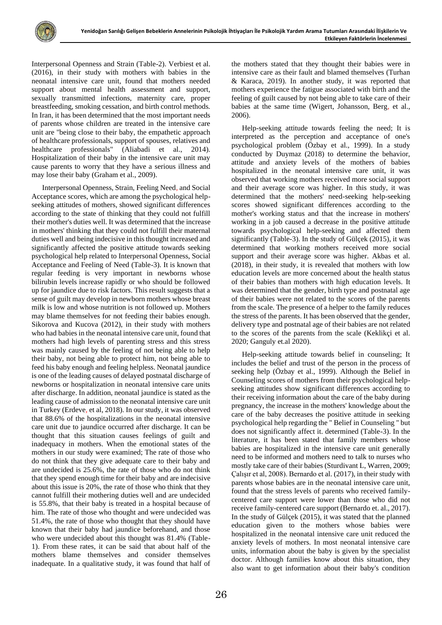

Interpersonal Openness and Strain (Table-2). Verbiest et al. (2016), in their study with mothers with babies in the neonatal intensive care unit, found that mothers needed support about mental health assessment and support, sexually transmitted infections, maternity care, proper breastfeeding, smoking cessation, and birth control methods. In Iran, it has been determined that the most important needs of parents whose children are treated in the intensive care unit are "being close to their baby, the empathetic approach of healthcare professionals, support of spouses, relatives and healthcare professionals" (Aliabadi et al., 2014). Hospitalization of their baby in the intensive care unit may cause parents to worry that they have a serious illness and may lose their baby (Graham et al., 2009).

Interpersonal Openness, Strain, Feeling Need, and Social Acceptance scores, which are among the psychological helpseeking attitudes of mothers, showed significant differences according to the state of thinking that they could not fulfill their mother's duties well. It was determined that the increase in mothers' thinking that they could not fulfill their maternal duties well and being indecisive in this thought increased and significantly affected the positive attitude towards seeking psychological help related to Interpersonal Openness, Social Acceptance and Feeling of Need (Table-3). It is known that regular feeding is very important in newborns whose bilirubin levels increase rapidly or who should be followed up for jaundice due to risk factors. This result suggests that a sense of guilt may develop in newborn mothers whose breast milk is low and whose nutrition is not followed up. Mothers may blame themselves for not feeding their babies enough. Sikorova and Kucova (2012), in their study with mothers who had babies in the neonatal intensive care unit, found that mothers had high levels of parenting stress and this stress was mainly caused by the feeling of not being able to help their baby, not being able to protect him, not being able to feed his baby enough and feeling helpless. Neonatal jaundice is one of the leading causes of delayed postnatal discharge of newborns or hospitalization in neonatal intensive care units after discharge. In addition, neonatal jaundice is stated as the leading cause of admission to the neonatal intensive care unit in Turkey (Erdeve, et al, 2018). In our study, it was observed that 88.6% of the hospitalizations in the neonatal intensive care unit due to jaundice occurred after discharge. It can be thought that this situation causes feelings of guilt and inadequacy in mothers. When the emotional states of the mothers in our study were examined; The rate of those who do not think that they give adequate care to their baby and are undecided is 25.6%, the rate of those who do not think that they spend enough time for their baby and are indecisive about this issue is 20%, the rate of those who think that they cannot fulfill their mothering duties well and are undecided is 55.8%, that their baby is treated in a hospital because of him. The rate of those who thought and were undecided was 51.4%, the rate of those who thought that they should have known that their baby had jaundice beforehand, and those who were undecided about this thought was 81.4% (Table-1). From these rates, it can be said that about half of the mothers blame themselves and consider themselves inadequate. In a qualitative study, it was found that half of the mothers stated that they thought their babies were in intensive care as their fault and blamed themselves (Turhan & Karaca, 2019). In another study, it was reported that mothers experience the fatigue associated with birth and the feeling of guilt caused by not being able to take care of their babies at the same time (Wigert, Johansson, Berg, et al., 2006).

Help-seeking attitude towards feeling the need; It is interpreted as the perception and acceptance of one's psychological problem (Özbay et al., 1999). In a study conducted by Duymaz (2018) to determine the behavior, attitude and anxiety levels of the mothers of babies hospitalized in the neonatal intensive care unit, it was observed that working mothers received more social support and their average score was higher. In this study, it was determined that the mothers' need-seeking help-seeking scores showed significant differences according to the mother's working status and that the increase in mothers' working in a job caused a decrease in the positive attitude towards psychological help-seeking and affected them significantly (Table-3). In the study of Gülçek (2015), it was determined that working mothers received more social support and their average score was higher. Akbas et al. (2018), in their study, it is revealed that mothers with low education levels are more concerned about the health status of their babies than mothers with high education levels. It was determined that the gender, birth type and postnatal age of their babies were not related to the scores of the parents from the scale. The presence of a helper to the family reduces the stress of the parents. It has been observed that the gender, delivery type and postnatal age of their babies are not related to the scores of the parents from the scale (Keklikçi et al. 2020; Ganguly et.al 2020).

Help-seeking attitude towards belief in counseling; It includes the belief and trust of the person in the process of seeking help (Özbay et al., 1999). Although the Belief in Counseling scores of mothers from their psychological helpseeking attitudes show significant differences according to their receiving information about the care of the baby during pregnancy, the increase in the mothers' knowledge about the care of the baby decreases the positive attitude in seeking psychological help regarding the " Belief in Counseling " but does not significantly affect it. determined (Table-3). In the literature, it has been stated that family members whose babies are hospitalized in the intensive care unit generally need to be informed and mothers need to talk to nurses who mostly take care of their babies (Sturdivant L, Warren, 2009; Çalışır et al, 2008). Bernardo et al. (2017), in their study with parents whose babies are in the neonatal intensive care unit, found that the stress levels of parents who received familycentered care support were lower than those who did not receive family-centered care support (Bernardo et. al., 2017). In the study of Gülçek (2015), it was stated that the planned education given to the mothers whose babies were hospitalized in the neonatal intensive care unit reduced the anxiety levels of mothers. In most neonatal intensive care units, information about the baby is given by the specialist doctor. Although families know about this situation, they also want to get information about their baby's condition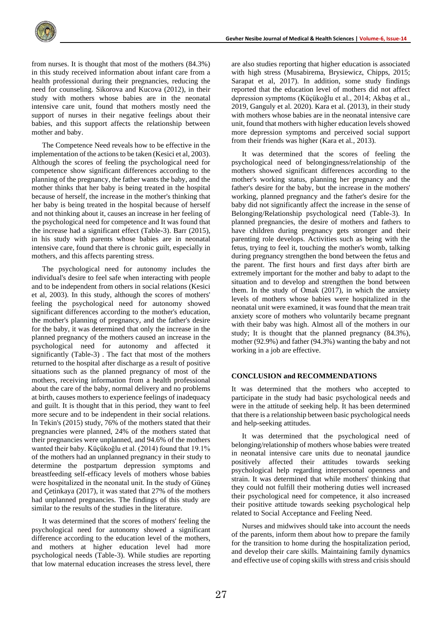from nurses. It is thought that most of the mothers (84.3%) in this study received information about infant care from a health professional during their pregnancies, reducing the need for counseling. Sikorova and Kucova (2012), in their study with mothers whose babies are in the neonatal intensive care unit, found that mothers mostly need the support of nurses in their negative feelings about their babies, and this support affects the relationship between mother and baby.

The Competence Need reveals how to be effective in the implementation of the actions to be taken (Kesici et al, 2003). Although the scores of feeling the psychological need for competence show significant differences according to the planning of the pregnancy, the father wants the baby, and the mother thinks that her baby is being treated in the hospital because of herself, the increase in the mother's thinking that her baby is being treated in the hospital because of herself and not thinking about it, causes an increase in her feeling of the psychological need for competence and It was found that the increase had a significant effect (Table-3). Barr (2015), in his study with parents whose babies are in neonatal intensive care, found that there is chronic guilt, especially in mothers, and this affects parenting stress.

The psychological need for autonomy includes the individual's desire to feel safe when interacting with people and to be independent from others in social relations (Kesici et al, 2003). In this study, although the scores of mothers' feeling the psychological need for autonomy showed significant differences according to the mother's education, the mother's planning of pregnancy, and the father's desire for the baby, it was determined that only the increase in the planned pregnancy of the mothers caused an increase in the psychological need for autonomy and affected it significantly (Table-3) . The fact that most of the mothers returned to the hospital after discharge as a result of positive situations such as the planned pregnancy of most of the mothers, receiving information from a health professional about the care of the baby, normal delivery and no problems at birth, causes mothers to experience feelings of inadequacy and guilt. It is thought that in this period, they want to feel more secure and to be independent in their social relations. In Tekin's (2015) study, 76% of the mothers stated that their pregnancies were planned, 24% of the mothers stated that their pregnancies were unplanned, and 94.6% of the mothers wanted their baby. Küçükoğlu et al. (2014) found that 19.1% of the mothers had an unplanned pregnancy in their study to determine the postpartum depression symptoms and breastfeeding self-efficacy levels of mothers whose babies were hospitalized in the neonatal unit. In the study of Güneş and Çetinkaya (2017), it was stated that 27% of the mothers had unplanned pregnancies. The findings of this study are similar to the results of the studies in the literature.

It was determined that the scores of mothers' feeling the psychological need for autonomy showed a significant difference according to the education level of the mothers, and mothers at higher education level had more psychological needs (Table-3). While studies are reporting that low maternal education increases the stress level, there

are also studies reporting that higher education is associated with high stress (Musabirema, Brysiewicz, Chipps, 2015; Sarapat et al, 2017). In addition, some study findings reported that the education level of mothers did not affect depression symptoms (Küçükoğlu et al., 2014; Akbaş et al., 2019, Ganguly et al. 2020). Kara et al. (2013), in their study with mothers whose babies are in the neonatal intensive care unit, found that mothers with higher education levels showed more depression symptoms and perceived social support from their friends was higher (Kara et al., 2013).

It was determined that the scores of feeling the psychological need of belongingness/relationship of the mothers showed significant differences according to the mother's working status, planning her pregnancy and the father's desire for the baby, but the increase in the mothers' working, planned pregnancy and the father's desire for the baby did not significantly affect the increase in the sense of Belonging/Relationship psychological need (Table-3). In planned pregnancies, the desire of mothers and fathers to have children during pregnancy gets stronger and their parenting role develops. Activities such as being with the fetus, trying to feel it, touching the mother's womb, talking during pregnancy strengthen the bond between the fetus and the parent. The first hours and first days after birth are extremely important for the mother and baby to adapt to the situation and to develop and strengthen the bond between them. In the study of Omak (2017), in which the anxiety levels of mothers whose babies were hospitalized in the neonatal unit were examined, it was found that the mean trait anxiety score of mothers who voluntarily became pregnant with their baby was high. Almost all of the mothers in our study; It is thought that the planned pregnancy (84.3%), mother (92.9%) and father (94.3%) wanting the baby and not working in a job are effective.

#### **CONCLUSION and RECOMMENDATIONS**

It was determined that the mothers who accepted to participate in the study had basic psychological needs and were in the attitude of seeking help. It has been determined that there is a relationship between basic psychological needs and help-seeking attitudes.

It was determined that the psychological need of belonging/relationship of mothers whose babies were treated in neonatal intensive care units due to neonatal jaundice positively affected their attitudes towards seeking psychological help regarding interpersonal openness and strain. It was determined that while mothers' thinking that they could not fulfill their mothering duties well increased their psychological need for competence, it also increased their positive attitude towards seeking psychological help related to Social Acceptance and Feeling Need.

Nurses and midwives should take into account the needs of the parents, inform them about how to prepare the family for the transition to home during the hospitalization period, and develop their care skills. Maintaining family dynamics and effective use of coping skills with stress and crisis should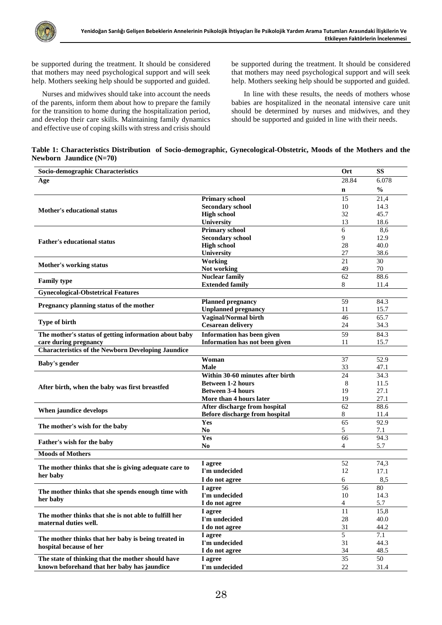be supported during the treatment. It should be considered that mothers may need psychological support and will seek help. Mothers seeking help should be supported and guided.

Nurses and midwives should take into account the needs of the parents, inform them about how to prepare the family for the transition to home during the hospitalization period, and develop their care skills. Maintaining family dynamics and effective use of coping skills with stress and crisis should be supported during the treatment. It should be considered that mothers may need psychological support and will seek help. Mothers seeking help should be supported and guided.

In line with these results, the needs of mothers whose babies are hospitalized in the neonatal intensive care unit should be determined by nurses and midwives, and they should be supported and guided in line with their needs.

| Table 1: Characteristics Distribution of Socio-demographic, Gynecological-Obstetric, Moods of the Mothers and the |  |  |
|-------------------------------------------------------------------------------------------------------------------|--|--|
| Newborn Jaundice $(N=70)$                                                                                         |  |  |

| Socio-demographic Characteristics                                              |                                       | Ort             | <b>SS</b>     |
|--------------------------------------------------------------------------------|---------------------------------------|-----------------|---------------|
| Age                                                                            |                                       | 28.84           | 6.078         |
|                                                                                |                                       | $\mathbf n$     | $\frac{0}{0}$ |
|                                                                                | <b>Primary school</b>                 | 15              | 21,4          |
|                                                                                | <b>Secondary school</b>               | 10              | 14.3          |
| <b>Mother's educational status</b>                                             | <b>High school</b>                    | 32              | 45.7          |
|                                                                                | <b>University</b>                     | 13              | 18.6          |
|                                                                                | <b>Primary school</b>                 | 6               | 8,6           |
| <b>Father's educational status</b>                                             | <b>Secondary school</b>               | 9               | 12.9          |
|                                                                                | <b>High school</b>                    | 28              | 40.0          |
|                                                                                | University                            | 27              | 38.6          |
| <b>Mother's working status</b>                                                 | Working                               | 21              | 30            |
|                                                                                | Not working                           | 49              | 70            |
| <b>Family type</b>                                                             | <b>Nuclear family</b>                 | 62              | 88.6          |
|                                                                                | <b>Extended family</b>                | 8               | 11.4          |
| <b>Gynecological-Obstetrical Features</b>                                      |                                       |                 |               |
| Pregnancy planning status of the mother                                        | <b>Planned pregnancy</b>              | 59              | 84.3          |
|                                                                                | <b>Unplanned pregnancy</b>            | 11              | 15.7          |
|                                                                                | Vaginal/Normal birth                  | 46              | 65.7          |
| <b>Type of birth</b>                                                           | <b>Cesarean delivery</b>              | 24              | 34.3          |
| The mother's status of getting information about baby                          | <b>Information has been given</b>     | 59              | 84.3          |
| care during pregnancy                                                          | <b>Information has not been given</b> | 11              | 15.7          |
| <b>Characteristics of the Newborn Developing Jaundice</b>                      |                                       |                 |               |
|                                                                                | Woman                                 | 37              | 52.9          |
| <b>Baby's gender</b>                                                           | <b>Male</b>                           | 33              | 47.1          |
|                                                                                | Within 30-60 minutes after birth      | 24              | 34.3          |
|                                                                                | <b>Between 1-2 hours</b>              | 8               | 11.5          |
| After birth, when the baby was first breastfed                                 | <b>Between 3-4 hours</b>              | 19              | 27.1          |
|                                                                                | More than 4 hours later               | 19              | 27.1          |
|                                                                                | After discharge from hospital         | 62              | 88.6          |
| When jaundice develops                                                         | Before discharge from hospital        | 8               | 11.4          |
|                                                                                | Yes                                   | $\overline{65}$ | 92.9          |
| The mother's wish for the baby                                                 | N <sub>0</sub>                        | 5               | 7.1           |
| Father's wish for the baby                                                     | Yes                                   | 66              | 94.3          |
|                                                                                | N <sub>0</sub>                        | 4               | 5.7           |
| <b>Moods of Mothers</b>                                                        |                                       |                 |               |
|                                                                                | I agree                               | 52              | 74,3          |
| The mother thinks that she is giving adequate care to                          | I'm undecided                         | 12              | 17.1          |
| her baby                                                                       | I do not agree                        | 6               | 8,5           |
|                                                                                | I agree                               | 56              | 80            |
| The mother thinks that she spends enough time with<br>her baby                 | I'm undecided                         | 10              | 14.3          |
|                                                                                | I do not agree                        | 4               | 5.7           |
|                                                                                | I agree                               | 11              | 15,8          |
| The mother thinks that she is not able to fulfill her<br>maternal duties well. | I'm undecided                         | 28              | 40.0          |
|                                                                                | I do not agree                        | 31              | 44.2          |
|                                                                                | I agree                               | 5               | 7.1           |
| The mother thinks that her baby is being treated in                            | I'm undecided                         | 31              | 44.3          |
| hospital because of her                                                        | I do not agree                        | 34              | 48.5          |
| The state of thinking that the mother should have                              | I agree                               | 35              | 50            |
| known beforehand that her baby has jaundice                                    | I'm undecided                         | $22\,$          | 31.4          |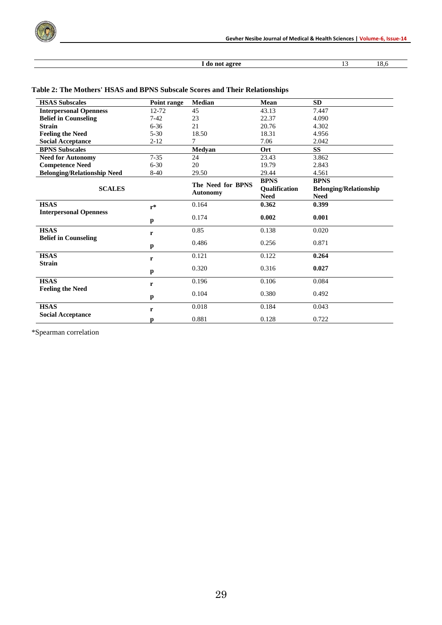

## **I** do not agree 13 18,6

| <b>HSAS Subscales</b>              | Point range  | <b>Median</b>     | Mean          | <b>SD</b>                     |
|------------------------------------|--------------|-------------------|---------------|-------------------------------|
| <b>Interpersonal Openness</b>      | 12-72        | 45                | 43.13         | 7.447                         |
| <b>Belief in Counseling</b>        | $7-42$       | 23                | 22.37         | 4.090                         |
| <b>Strain</b>                      | $6 - 36$     | 21                | 20.76         | 4.302                         |
| <b>Feeling the Need</b>            | $5 - 30$     | 18.50             | 18.31         | 4.956                         |
| <b>Social Acceptance</b>           | $2 - 12$     | 7                 | 7.06          | 2.042                         |
| <b>BPNS Subscales</b>              |              | Medyan            | Ort           | <b>SS</b>                     |
| <b>Need for Autonomy</b>           | $7 - 35$     | 24                | 23.43         | 3.862                         |
| <b>Competence Need</b>             | $6 - 30$     | 20                | 19.79         | 2.843                         |
| <b>Belonging/Relationship Need</b> | $8-40$       | 29.50             | 29.44         | 4.561                         |
|                                    |              | The Need for BPNS | <b>BPNS</b>   | <b>BPNS</b>                   |
| <b>SCALES</b>                      |              |                   | Qualification | <b>Belonging/Relationship</b> |
|                                    |              | <b>Autonomy</b>   | <b>Need</b>   | <b>Need</b>                   |
| <b>HSAS</b>                        | $r^*$        | 0.164             | 0.362         | 0.399                         |
| <b>Interpersonal Openness</b>      |              |                   |               |                               |
|                                    | $\mathbf{p}$ | 0.174             | 0.002         | 0.001                         |
| <b>HSAS</b>                        |              | 0.85              | 0.138         | 0.020                         |
| <b>Belief in Counseling</b>        | r            |                   |               |                               |
|                                    | p            | 0.486             | 0.256         | 0.871                         |
| <b>HSAS</b>                        | r            | 0.121             | 0.122         | 0.264                         |
| <b>Strain</b>                      |              | 0.320             | 0.316         | 0.027                         |
|                                    | $\mathbf{p}$ |                   |               |                               |
| <b>HSAS</b>                        | r            | 0.196             | 0.106         | 0.084                         |
| <b>Feeling the Need</b>            |              |                   |               |                               |
|                                    | p            | 0.104             | 0.380         | 0.492                         |
| <b>HSAS</b>                        | r            | 0.018             | 0.184         | 0.043                         |
| <b>Social Acceptance</b>           |              | 0.881             | 0.128         | 0.722                         |
|                                    | p            |                   |               |                               |

## **Table 2: The Mothers' HSAS and BPNS Subscale Scores and Their Relationships**

\*Spearman correlation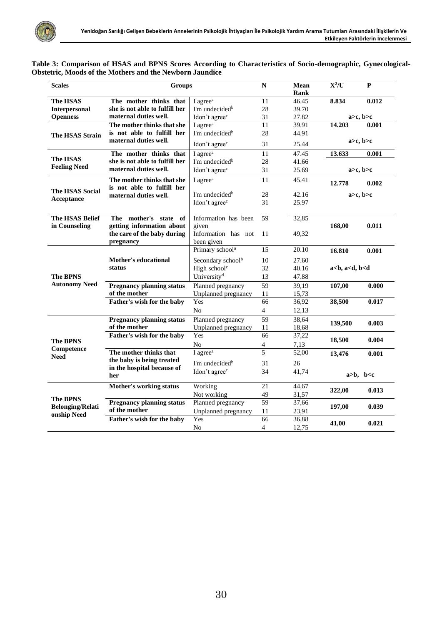| Table 3: Comparison of HSAS and BPNS Scores According to Characteristics of Socio-demographic, Gynecological- |  |  |
|---------------------------------------------------------------------------------------------------------------|--|--|
| <b>Obstetric, Moods of the Mothers and the Newborn Jaundice</b>                                               |  |  |

| <b>Scales</b>           | <b>Groups</b>                    |                                   | $\mathbf N$           | <b>Mean</b> | $X^2/U$                     | $\mathbf{P}$      |
|-------------------------|----------------------------------|-----------------------------------|-----------------------|-------------|-----------------------------|-------------------|
|                         |                                  |                                   |                       | Rank        |                             |                   |
| <b>The HSAS</b>         | The mother thinks that           | I agree <sup>a</sup>              | 11                    | 46.45       | 8.834                       | 0.012             |
| <b>Interpersonal</b>    | she is not able to fulfill her   | I'm undecided <sup>b</sup>        | 28                    | 39.70       |                             |                   |
| <b>Openness</b>         | maternal duties well.            | Idon't agree <sup>c</sup>         | 31                    | 27.82       |                             | $a > c$ , $b > c$ |
|                         | The mother thinks that she       | I agree <sup><math>a</math></sup> | 11                    | 39.91       | 14.203                      | 0.001             |
| <b>The HSAS Strain</b>  | is not able to fulfill her       | I'm undecided <sup>b</sup>        | 28                    | 44.91       |                             |                   |
|                         | maternal duties well.            | Idon't agree <sup>c</sup>         | 31                    | 25.44       |                             | a>c, b>c          |
|                         | The mother thinks that           | I agree <sup>a</sup>              | 11                    | 47.45       | 13.633                      | 0.001             |
| The HSAS                | she is not able to fulfill her   | I'm undecided <sup>b</sup>        | 28                    | 41.66       |                             |                   |
| <b>Feeling Need</b>     | maternal duties well.            | Idon't agree <sup>c</sup>         | 31                    | 25.69       |                             | a>c, b>c          |
|                         | The mother thinks that she       | I agree <sup>a</sup>              | 11                    | 45.41       | 12.778                      | 0.002             |
| The HSAS Social         | is not able to fulfill her       | I'm undecided <sup>b</sup>        | 28                    | 42.16       |                             |                   |
| Acceptance              | maternal duties well.            |                                   | 31                    | 25.97       |                             | a>c, b>c          |
|                         |                                  | Idon't agree <sup>c</sup>         |                       |             |                             |                   |
| <b>The HSAS Belief</b>  | The mother's state of            | Information has been              | 59                    | 32,85       |                             |                   |
| in Counseling           | getting information about        | given                             |                       |             | 168,00                      | 0.011             |
|                         | the care of the baby during      | Information has not               | 11                    | 49,32       |                             |                   |
|                         | pregnancy                        | been given                        |                       |             |                             |                   |
|                         |                                  | Primary school <sup>a</sup>       | 15                    | 20.10       | 16.810                      | 0.001             |
|                         | Mother's educational             | Secondary school <sup>b</sup>     | 10                    | 27.60       |                             |                   |
|                         | status                           | High school <sup>c</sup>          | 32                    | 40.16       | $a < b$ , $a < d$ , $b < d$ |                   |
| <b>The BPNS</b>         |                                  | University <sup>d</sup>           | 13                    | 47.88       |                             |                   |
| <b>Autonomy Need</b>    |                                  |                                   |                       |             |                             |                   |
|                         | <b>Pregnancy planning status</b> | Planned pregnancy                 | 59                    | 39,19       | 107,00                      | 0.000             |
|                         | of the mother                    | Unplanned pregnancy<br>Yes        | 11<br>$\overline{66}$ | 15,73       |                             |                   |
|                         | Father's wish for the baby       |                                   |                       | 36,92       | 38,500                      | 0.017             |
|                         |                                  | N <sub>0</sub>                    | $\overline{4}$        | 12,13       |                             |                   |
|                         | <b>Pregnancy planning status</b> | Planned pregnancy                 | 59                    | 38,64       | 139,500                     | 0.003             |
|                         | of the mother                    | Unplanned pregnancy               | 11                    | 18,68       |                             |                   |
| <b>The BPNS</b>         | Father's wish for the baby       | Yes                               | 66                    | 37,22       | 18,500                      | 0.004             |
| Competence              |                                  | No                                | $\overline{4}$        | 7,13        |                             |                   |
| <b>Need</b>             | The mother thinks that           | I agree <sup>a</sup>              | 5                     | 52,00       | 13,476                      | 0.001             |
|                         | the baby is being treated        | I'm undecided <sup>b</sup>        | 31                    | 26          |                             |                   |
|                         | in the hospital because of       | Idon't agree <sup>c</sup>         | 34                    | 41,74       |                             |                   |
|                         | her                              |                                   |                       |             |                             | a>b, b < c        |
|                         | Mother's working status          | Working                           | 21                    | 44,67       | 322,00                      | 0.013             |
| <b>The BPNS</b>         |                                  | Not working                       | 49                    | 31,57       |                             |                   |
| <b>Belonging/Relati</b> | <b>Pregnancy planning status</b> | Planned pregnancy                 | 59                    | 37,66       |                             |                   |
| onship Need             | of the mother                    | Unplanned pregnancy               | 11                    | 23,91       | 197,00                      | 0.039             |
|                         | Father's wish for the baby       | Yes                               | 66                    | 36,88       | 41,00                       | 0.021             |
|                         |                                  | No                                | $\overline{4}$        | 12,75       |                             |                   |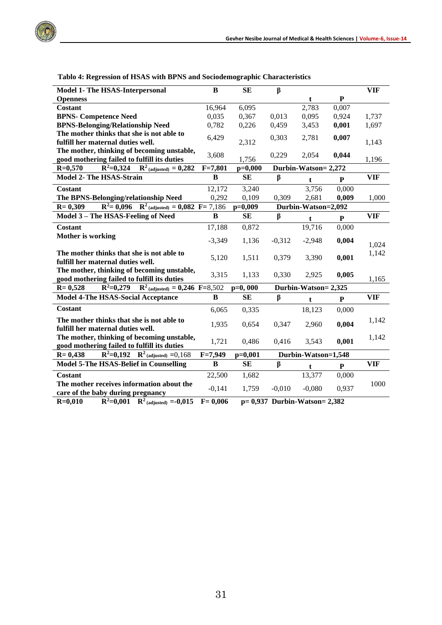

| Model 1- The HSAS-Interpersonal                                                           | $\bf{B}$                                      | SE        | $\beta$  |                      |           | <b>VIF</b> |
|-------------------------------------------------------------------------------------------|-----------------------------------------------|-----------|----------|----------------------|-----------|------------|
| <b>Openness</b>                                                                           |                                               |           |          | t                    | ${\bf P}$ |            |
| <b>Costant</b>                                                                            | 16,964                                        | 6,095     |          | 2,783                | 0,007     |            |
| <b>BPNS- Competence Need</b>                                                              | 0,035                                         | 0,367     | 0,013    | 0,095                | 0,924     | 1,737      |
| <b>BPNS-Belonging/Relationship Need</b>                                                   | 0,782                                         | 0,226     | 0,459    | 3,453                | 0,001     | 1,697      |
| The mother thinks that she is not able to                                                 | 6,429                                         |           | 0,303    | 2,781                | 0,007     |            |
| fulfill her maternal duties well.                                                         |                                               | 2,312     |          |                      |           | 1,143      |
| The mother, thinking of becoming unstable,                                                | 3,608                                         |           | 0,229    | 2,054                | 0,044     |            |
| good mothering failed to fulfill its duties                                               |                                               | 1,756     |          |                      |           | 1,196      |
| $R^2=0,324$<br>$R^2$ (adjusted) = 0,282<br>$R = 0,570$                                    | $F = 7,801$                                   | $p=0,000$ |          | Durbin-Watson= 2,272 |           |            |
| <b>Model 2- The HSAS-Strain</b>                                                           | B                                             | <b>SE</b> | β        | t                    | P         | <b>VIF</b> |
| Costant                                                                                   | 12,172                                        | 3,240     |          | 3,756                | 0,000     |            |
| The BPNS-Belonging/relationship Need                                                      | 0,292                                         | 0,109     | 0,309    | 2,681                | 0,009     | 1,000      |
| $R^2 = 0,096$ $R^2$ (adjusted) = 0,082 $F = 7,186$<br>$R = 0,309$                         |                                               | $p=0,009$ |          | Durbin-Watson=2,092  |           |            |
| Model 3 - The HSAS-Feeling of Need                                                        | B                                             | SЕ        | β        | $\mathbf t$          | ${\bf P}$ | <b>VIF</b> |
| <b>Costant</b>                                                                            | 17,188                                        | 0,872     |          | 19,716               | 0,000     |            |
| <b>Mother is working</b>                                                                  | $-3,349$                                      | 1,136     | $-0,312$ | $-2,948$             | 0,004     | 1,024      |
| The mother thinks that she is not able to<br>fulfill her maternal duties well.            | 5,120                                         | 1,511     | 0,379    | 3,390                | 0,001     | 1,142      |
| The mother, thinking of becoming unstable,<br>good mothering failed to fulfill its duties | 3,315                                         | 1,133     | 0,330    | 2,925                | 0,005     | 1,165      |
| $\mathbb{R}^2$ (adjusted) = 0,246 F=8,502<br>$R^2=0,279$<br>$R = 0,528$                   |                                               | $p=0,000$ |          | Durbin-Watson= 2,325 |           |            |
| <b>Model 4-The HSAS-Social Acceptance</b>                                                 | B                                             | SE        | β        | $\mathbf t$          | P         | <b>VIF</b> |
| Costant                                                                                   | 6,065                                         | 0,335     |          | 18,123               | 0,000     |            |
| The mother thinks that she is not able to<br>fulfill her maternal duties well.            | 1,935                                         | 0,654     | 0,347    | 2,960                | 0,004     | 1,142      |
| The mother, thinking of becoming unstable,<br>good mothering failed to fulfill its duties | 1,721                                         | 0,486     | 0,416    | 3,543                | 0,001     | 1,142      |
| $R^2=0,192$ $R^2$ (adjusted) =0,168<br>$R = 0,438$                                        | Durbin-Watson=1,548<br>$F=7,949$<br>$p=0,001$ |           |          |                      |           |            |
| <b>Model 5-The HSAS-Belief in Counselling</b>                                             | B                                             | <b>SE</b> | $\beta$  | $\mathbf{f}$         | ${\bf P}$ | <b>VIF</b> |
| <b>Costant</b>                                                                            | 22,500                                        | 1,682     |          | 13,377               | 0,000     |            |
| The mother receives information about the<br>care of the baby during pregnancy            | $-0,141$                                      | 1,759     | $-0,010$ | $-0,080$             | 0,937     | 1000       |
| $P = 0.010$ $P = 2.001$                                                                   | 0.002                                         |           |          |                      |           |            |

 **Tablo 4: Regression of HSAS with BPNS and Sociodemographic Characteristics**

**R=0,010 R<sup>2</sup>=0,001 R2 (adjusted) =-0,015 F= 0,006 p= 0,937 Durbin-Watson= 2,382**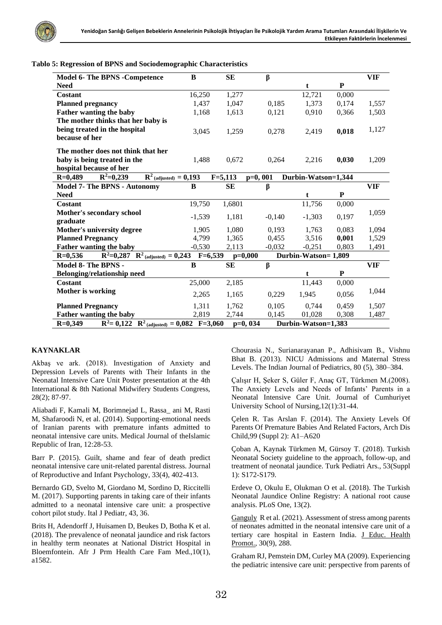

|  |  | Tablo 5: Regression of BPNS and Sociodemographic Characteristics |
|--|--|------------------------------------------------------------------|
|  |  |                                                                  |

| <b>Model 6- The BPNS - Competence</b>                                                              | B         | <b>SE</b>                | β        |                     |              | <b>VIF</b> |
|----------------------------------------------------------------------------------------------------|-----------|--------------------------|----------|---------------------|--------------|------------|
| <b>Need</b>                                                                                        |           |                          |          | t                   | ${\bf P}$    |            |
| Costant                                                                                            | 16,250    | 1,277                    |          | 12,721              | 0,000        |            |
| <b>Planned pregnancy</b>                                                                           | 1,437     | 1,047                    | 0,185    | 1,373               | 0,174        | 1,557      |
| <b>Father wanting the baby</b>                                                                     | 1,168     | 1,613                    | 0,121    | 0,910               | 0,366        | 1,503      |
| The mother thinks that her baby is                                                                 |           |                          |          |                     |              |            |
| being treated in the hospital                                                                      | 3,045     | 1,259                    | 0,278    | 2,419               | 0,018        | 1,127      |
| because of her                                                                                     |           |                          |          |                     |              |            |
| The mother does not think that her                                                                 |           |                          |          |                     |              |            |
| baby is being treated in the                                                                       | 1,488     | 0,672                    | 0,264    | 2,216               | 0,030        | 1,209      |
| hospital because of her                                                                            |           |                          |          |                     |              |            |
| $\mathbb{R}^2$ (adjusted) = 0,193<br>$R^2=0,239$<br>$R=0,489$                                      |           | $F = 5,113$<br>$p=0,001$ |          | Durbin-Watson=1,344 |              |            |
| <b>Model 7- The BPNS - Autonomy</b>                                                                | B         | <b>SE</b>                | β        |                     |              | VIF        |
| <b>Need</b>                                                                                        |           |                          |          | t                   | ${\bf P}$    |            |
| Costant                                                                                            | 19,750    | 1,6801                   |          | 11,756              | 0,000        |            |
| Mother's secondary school                                                                          |           |                          |          |                     |              | 1,059      |
| graduate                                                                                           | $-1,539$  | 1,181                    | $-0,140$ | $-1,303$            | 0,197        |            |
| Mother's university degree                                                                         | 1,905     | 1,080                    | 0,193    | 1,763               | 0,083        | 1,094      |
| <b>Planned Pregnancy</b>                                                                           | 4,799     | 1,365                    | 0,455    | 3,516               | 0,001        | 1,529      |
| Father wanting the baby                                                                            | $-0,530$  | 2,113                    | $-0,032$ | $-0,251$            | 0,803        | 1,491      |
| $R^2=0,287$ $R^2$ (adjusted) = 0,243<br>$R=0,536$                                                  | $F=6,539$ | $p=0,000$                |          | Durbin-Watson=1,809 |              |            |
| Model 8- The BPNS -                                                                                | B         | <b>SE</b>                | β        |                     |              | VIF        |
| Belonging/relationship need                                                                        |           |                          |          | t                   | $\mathbf{P}$ |            |
| <b>Costant</b>                                                                                     | 25,000    | 2,185                    |          | 11,443              | 0,000        |            |
| Mother is working                                                                                  | 2,265     | 1,165                    | 0,229    | 1,945               | 0,056        | 1,044      |
| <b>Planned Pregnancy</b>                                                                           | 1,311     | 1,762                    | 0,105    | 0,744               | 0,459        | 1,507      |
| <b>Father wanting the baby</b>                                                                     | 2,819     | 2,744                    | 0,145    | 01,028              | 0,308        | 1,487      |
| $R^2$ (adjusted) = 0,082 F=3,060<br>$R=0,349$<br>$R^2 = 0,122$<br>Durbin-Watson=1,383<br>$p=0,034$ |           |                          |          |                     |              |            |

## **KAYNAKLAR**

Akbaş ve ark. (2018). Investigation of Anxiety and Depression Levels of Parents with Their Infants in the Neonatal Intensive Care Unit Poster presentation at the 4th International & 8th National Midwifery Students Congress, 28(2); 87-97.

Aliabadi F, Kamali M, Borimnejad L, Rassa\_ ani M, Rasti M, Shafaroodi N, et al. (2014). Supporting-emotional needs of Iranian parents with premature infants admitted to neonatal intensive care units. Medical Journal of theIslamic Republic of Iran, 12:28-53.

Barr P. (2015). Guilt, shame and fear of death predict neonatal intensive care unit-related parental distress. Journal of Reproductive and Infant Psychology, 33(4), 402-413.

Bernardo GD, Svelto M, Giordano M, Sordino D, Riccitelli M. (2017). Supporting parents in taking care of their infants admitted to a neonatal intensive care unit: a prospective cohort pilot study. Ital J Pediatr, 43, 36.

Brits H, Adendorff J, Huisamen D, Beukes D, Botha K et al. (2018). The prevalence of neonatal jaundice and risk factors in healthy term neonates at National District Hospital in Bloemfontein. Afr J Prm Health Care Fam Med.,10(1), a1582.

Chourasia N., Surianarayanan P., Adhisivam B., Vishnu Bhat B. (2013). NICU Admissions and Maternal Stress Levels. The Indian Journal of Pediatrics, 80 (5), 380–384.

Çalışır H, Şeker S, Güler F, Anaç GT, Türkmen M.(2008). The Anxiety Levels and Needs of Infants' Parents in a Neonatal Intensive Care Unit. Journal of Cumhuriyet University School of Nursing,12(1):31-44.

Çelen R. Tas Arslan F. (2014). The Anxiety Levels Of Parents Of Premature Babies And Related Factors, Arch Dis Child,99 (Suppl 2): A1–A620

Çoban A, Kaynak Türkmen M, Gürsoy T. (2018). Turkish Neonatal Society guideline to the approach, follow-up, and treatment of neonatal jaundice. Turk Pediatri Ars., 53(Suppl 1): S172-S179.

Erdeve O, Okulu E, Olukman O et al. (2018). The Turkish Neonatal Jaundice Online Registry: A national root cause analysis. PLoS One, 13(2).

[Ganguly](https://pubmed.ncbi.nlm.nih.gov/?term=Ganguly+R&cauthor_id=33282993) R et al. (2021). Assessment of stress among parents of neonates admitted in the neonatal intensive care unit of a tertiary care hospital in Eastern India. [J Educ. Health](https://www.ncbi.nlm.nih.gov/pmc/articles/PMC7709741/)  [Promot.,](https://www.ncbi.nlm.nih.gov/pmc/articles/PMC7709741/) 30(9), 288.

Graham RJ, Pemstein DM, Curley MA (2009). Experiencing the pediatric intensive care unit: perspective from parents of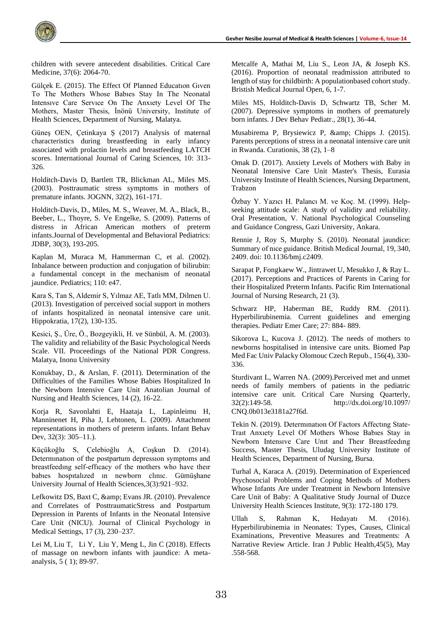

children with severe antecedent disabilities. Critical Care Medicine, 37(6): 2064-70.

Gülçek E. (2015). The Effect Of Planned Educatıon Gıven To The Mothers Whose Babıes Stay In The Neonatal Intensıve Care Servıce On The Anxıety Level Of The Mothers, Master Thesis, İnönü University, Institute of Health Sciences, Department of Nursing, Malatya.

Güneş OEN, Çetinkaya Ş (2017) Analysis of maternal characteristics during breastfeeding in early infancy associated with prolactin levels and breastfeeding LATCH scores. International Journal of Caring Sciences, 10: 313- 326.

Holditch-Davis D, Bartlett TR, Blickman AL, Miles MS. (2003). Posttraumatic stress symptoms in mothers of premature infants. JOGNN, 32(2), 161-171.

Holditch-Davis, D., Miles, M. S., Weaver, M. A., Black, B., Beeber, L., Thoyre, S. Ve Engelke, S. (2009). Patterns of distress in African American mothers of preterm infants.Journal of Developmental and Behavioral Pediatrics: JDBP, 30(3), 193-205.

Kaplan M, Muraca M, Hammerman C, et al. (2002). Inbalance between production and conjugation of bilirubin: a fundamental concept in the mechanism of neonatal jaundice. Pediatrics; 110: e47.

Kara S, Tan S, Aldemir S, Yılmaz AE, Tatlı MM, Dilmen U. (2013). Investigation of perceived social support in mothers of infants hospitalized in neonatal intensive care unit. Hippokratia, 17(2), 130-135.

Kesici, Ş., Üre, Ö., Bozgeyikli, H. ve Sünbül, A. M. (2003). The validity and reliability of the Basic Psychological Needs Scale. VII. Proceedings of the National PDR Congress. Malatya, Inonu University

Konukbay, D., & Arslan, F. (2011). Determination of the Difficulties of the Families Whose Babies Hospitalized In the Newborn Intensive Care Unit Anatolian Journal of Nursing and Health Sciences, 14 (2), 16-22.

Korja R, Savonlahti E, Haataja L, Lapinleimu H, Manninenet H, Piha J, Lehtonen, L. (2009). Attachment representations in mothers of preterm infants. Infant Behav Dev, 32(3): 305–11.).

Küçükoğlu S, Çelebioğlu A, Coşkun D. (2014). Determınatıon of the postpartum depressıon symptoms and breastfeedıng self-effıcacy of the mothers who have theır babıes hospıtalızed ın newborn clınıc. Gümüşhane University Journal of Health Sciences,3(3):921–932.

Lefkowitz DS, Baxt C, & amp; Evans JR. (2010). Prevalence and Correlates of PosttraumaticStress and Postpartum Depression in Parents of Infants in the Neonatal Intensive Care Unit (NICU). Journal of Clinical Psychology in Medical Settings, 17 (3), 230–237.

[Lei](https://www.sciencedirect.com/science/article/pii/S2352013217303198?via%3Dihub#!) M[, Liu](https://www.sciencedirect.com/science/article/pii/S2352013217303198?via%3Dihub#!) T, [Li](https://www.sciencedirect.com/science/article/pii/S2352013217303198?via%3Dihub#!) Y, [Liu](https://www.sciencedirect.com/science/article/pii/S2352013217303198?via%3Dihub#!) Y, [Meng](https://www.sciencedirect.com/science/article/pii/S2352013217303198?via%3Dihub#!) L, [Jin](https://www.sciencedirect.com/science/article/pii/S2352013217303198?via%3Dihub#!) C (2018). Effects of massage on newborn infants with jaundice: A metaanalysi[s, 5 \( 1\)](https://www.sciencedirect.com/science/journal/23520132/5/1); 89-97.

Metcalfe A, Mathai M, Liu S., Leon JA, & Joseph KS. (2016). Proportion of neonatal readmission attributed to length of stay for childbirth: A populationbased cohort study. Bristish Medical Journal Open, 6, 1-7.

Miles MS, Holditch-Davis D, Schwartz TB, Scher M. (2007). Depressive symptoms in mothers of prematurely born infants. J Dev Behav Pediatr., 28(1), 36-44.

Musabirema P, Brysiewicz P, & amp; Chipps J. (2015). Parents perceptions of stress in a neonatal intensive care unit in Rwanda. Curationis, 38 (2), 1–8

Omak D. (2017). Anxiety Levels of Mothers with Baby in Neonatal Intensive Care Unit Master's Thesis, Eurasia University Institute of Health Sciences, Nursing Department, Trabzon

Özbay Y. Yazıcı H. Palancı M. ve Koç. M. (1999). Helpseeking attitude scale: A study of validity and reliability. Oral Presentation, V. National Psychological Counseling and Guidance Congress, Gazi University, Ankara.

Rennie J, Roy S, Murphy S. (2010). Neonatal jaundice: Summary of nıce guidance. British Medical Journal, 19, 340, 2409. doi: 10.1136/bmj.c2409.

Sarapat P, Fongkaew W., Jintrawet U, Mesukko J, & Ray L. (2017). Perceptions and Practices of Parents in Caring for their Hospitalized Preterm Infants. Pacific Rim International Journal of Nursing Research, 21 (3).

Schwarz HP, Haberman BE, Ruddy RM. (2011). Hyperbilirubinemia. Current guidelines and emerging therapies. Pediatr Emer Care; 27: 884- 889.

Sikorova L, Kucova J. (2012). The needs of mothers to newborns hospitalised in intensive care units. Biomed Pap Med Fac Univ Palacky Olomouc Czech Repub., 156(4), 330- 336.

Sturdivant L, Warren NA. (2009).Perceived met and unmet needs of family members of patients in the pediatric intensive care unit. Critical Care Nursing Quarterly, 32(2):149-58. <http://dx.doi.org/10.1097/> CNQ.0b013e3181a27f6d.

Tekin N. (2019). Determınatıon Of Factors Affectıng State-Traıt Anxıety Level Of Mothers Whose Babıes Stay in Newborn Intensıve Care Unıt and Theır Breastfeedıng Success, Master Thesis, Uludag University Institute of Health Sciences, Department of Nursing, Bursa.

Turhal A, Karaca A. (2019). Determination of Experienced Psychosocial Problems and Coping Methods of Mothers Whose Infants Are under Treatment in Newborn Intensive Care Unit of Baby: A Qualitative Study Journal of Duzce University Health Sciences Institute, 9(3): 172-180 179.

Ullah S, Rahman K, Hedayatı M. (2016). Hyperbilirubinemia in Neonates: Types, Causes, Clinical Examinations, Preventive Measures and Treatments: A Narrative Review Article. Iran J Public Health,45(5), May .558-568.